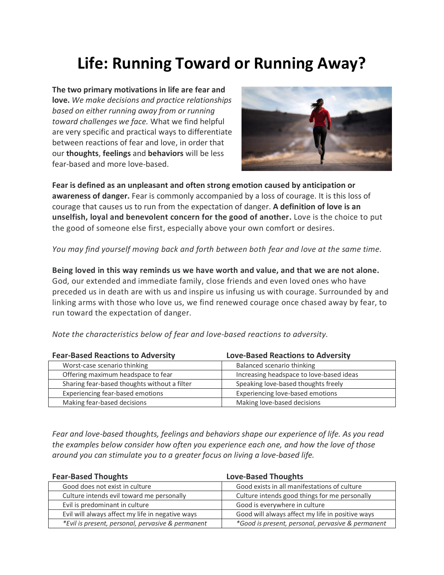## **Life: Running Toward or Running Away?**

**The two primary motivations in life are fear and love.** *We make decisions and practice relationships based on either running away from or running toward challenges we face.* What we find helpful are very specific and practical ways to differentiate between reactions of fear and love, in order that our **thoughts**, **feelings** and **behaviors** will be less fear-based and more love-based.



**Fear is defined as an unpleasant and often strong emotion caused by anticipation or awareness of danger.** Fear is commonly accompanied by a loss of courage. It is this loss of courage that causes us to run from the expectation of danger. **A definition of love is an unselfish, loyal and benevolent concern for the good of another.** Love is the choice to put the good of someone else first, especially above your own comfort or desires.

*You may find yourself moving back and forth between both fear and love at the same time.*

**Being loved in this way reminds us we have worth and value, and that we are not alone.** God, our extended and immediate family, close friends and even loved ones who have preceded us in death are with us and inspire us infusing us with courage. Surrounded by and linking arms with those who love us, we find renewed courage once chased away by fear, to run toward the expectation of danger.

*Note the characteristics below of fear and love-based reactions to adversity.*

| <b>Fear-Based Reactions to Adversity</b>     | <b>Love-Based Reactions to Adversity</b> |
|----------------------------------------------|------------------------------------------|
| Worst-case scenario thinking                 | Balanced scenario thinking               |
| Offering maximum headspace to fear           | Increasing headspace to love-based ideas |
| Sharing fear-based thoughts without a filter | Speaking love-based thoughts freely      |
| Experiencing fear-based emotions             | Experiencing love-based emotions         |
| Making fear-based decisions                  | Making love-based decisions              |

*Fear and love-based thoughts, feelings and behaviors shape our experience of life. As you read the examples below consider how often you experience each one, and how the love of those around you can stimulate you to a greater focus on living a love-based life.*

| <b>Fear-Based Thoughts</b>                        | <b>Love-Based Thoughts</b>                        |
|---------------------------------------------------|---------------------------------------------------|
| Good does not exist in culture                    | Good exists in all manifestations of culture      |
| Culture intends evil toward me personally         | Culture intends good things for me personally     |
| Evil is predominant in culture                    | Good is everywhere in culture                     |
| Evil will always affect my life in negative ways  | Good will always affect my life in positive ways  |
| *Evil is present, personal, pervasive & permanent | *Good is present, personal, pervasive & permanent |